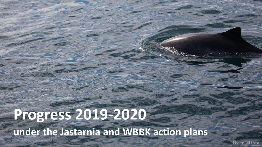# **Progress 2019-2020 under the Jastarnia and WBBK action plans**

Photo: Olli Loisa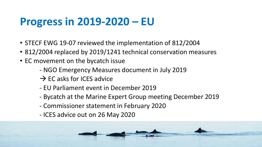## **Progress in 2019-2020 – EU**

- STECF EWG 19-07 reviewed the implementation of 812/2004
- 812/2004 replaced by 2019/1241 technical conservation measures
- EC movement on the bycatch issue
	- NGO Emergency Measures document in July 2019
	- $\rightarrow$  EC asks for ICES advice
	- EU Parliament event in December 2019
	- Bycatch at the Marine Expert Group meeting December 2019
	- Commissioner statement in February 2020
	- ICES advice out on 26 May 2020

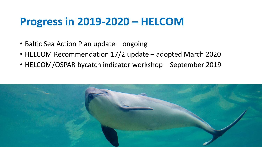#### **Progress in 2019-2020 – HELCOM**

- Baltic Sea Action Plan update ongoing
- HELCOM Recommendation 17/2 update adopted March 2020
- HELCOM/OSPAR bycatch indicator workshop September 2019

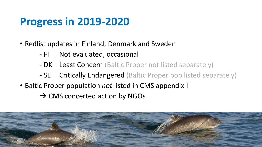## **Progress in 2019-2020**

- Redlist updates in Finland, Denmark and Sweden
	- FI Not evaluated, occasional
	- DK Least Concern (Baltic Proper not listed separately)
	- SE Critically Endangered (Baltic Proper pop listed separately)
- Baltic Proper population *not* listed in CMS appendix I
	- $\rightarrow$  CMS concerted action by NGOs

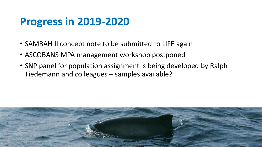### **Progress in 2019-2020**

- SAMBAH II concept note to be submitted to LIFE again
- ASCOBANS MPA management workshop postponed
- SNP panel for population assignment is being developed by Ralph Tiedemann and colleagues – samples available?